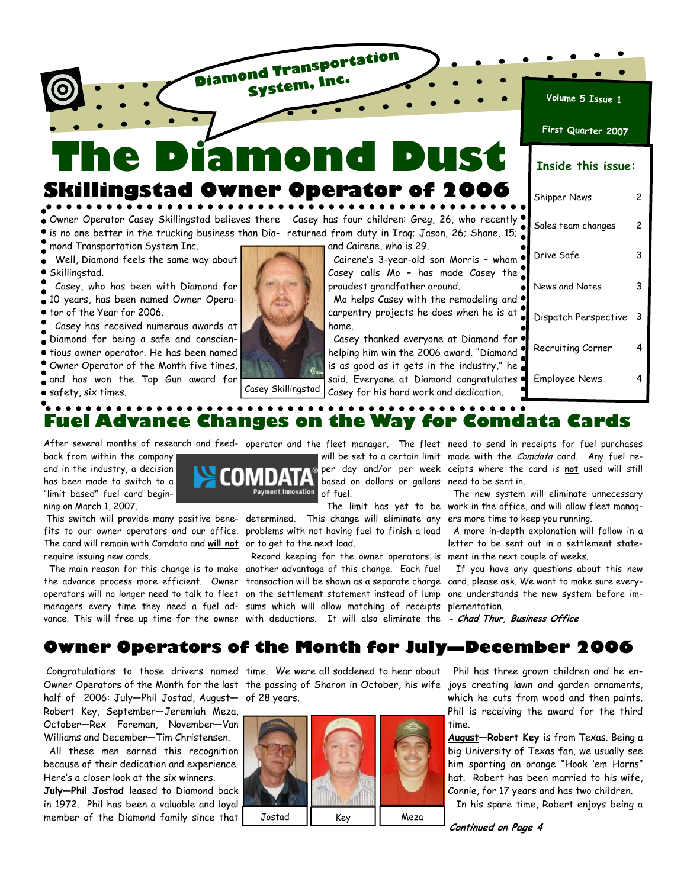**The Diamond Dust Skillingstad Owner Operator of 2006** 

**Diamond Transportation System, Inc.**

Owner Operator Casey Skillingstad believes there Casey has four children: Greg, 26, who recently is no one better in the trucking business than Dia-returned from duty in Iraq; Jason, 26; Shane, 15;

mond Transportation System Inc.

 Well, Diamond feels the same way about Skillingstad.

 Casey, who has been with Diamond for 10 years, has been named Owner Opera-**•** tor of the Year for 2006.

 Casey has received numerous awards at Diamond for being a safe and conscien- $\bullet$  tious owner operator. He has been named Owner Operator of the Month five times, and has won the Top Gun award for safety, six times.

and Cairene, who is 29.

Cairene's 3-year-old son Morris  $\emph{Casey}$  calls Mo - has made  $C$ proudest grandfather around.

Mo helps Casey with the remod carpentry projects he does when home.

Casey thanked everyone at Dia helping him win the 2006 award. is as good as it gets in the indu said. Everyone at Diamond cong Casey for his hard work and dedi-



. . . . . . . . . . . **Fuel Advance Changes on the Way for Comdata Cards** 

After several months of research and feed-operator and the fleet manager. The fleet need to send in receipts for fuel purchases

back from within the company and in the industry, a decision has been made to switch to a "limit based" fuel card beginning on March 1, 2007.

 This switch will provide many positive bene-determined. This change will eliminate any ers more time to keep you running. fits to our owner operators and our office. problems with not having fuel to finish a load  $\,$  A more in-depth explanation will follow in a The card will remain with Comdata and **will not** or to get to the next load. require issuing new cards.

 The main reason for this change is to make another advantage of this change. Each fuel the advance process more efficient. Owner transaction will be shown as a separate charge  $\,$  card, please ask. We want to make sure everyoperators will no longer need to talk to fleet on the settlement statement instead of lump one understands the new system before immanagers every time they need a fuel ad-sums which will allow matching of receipts plementation.



based on dollars or gallons need to be sent in.

vance. This will free up time for the owner with deductions. It will also eliminate the *- Chad Thur, Business Office* Record keeping for the owner operators is ment in the next couple of weeks.

will be set to a certain limit made with the *Comdata* card. Any fuel reper day and/or per week ceipts where the card is **not** used will still

 The limit has yet to be work in the office, and will allow fleet manag-The new system will eliminate unnecessary

letter to be sent out in a settlement state-

If you have any questions about this new

## **Owner Operators of the Month for July—December 2006**

 Congratulations to those drivers named time. We were all saddened to hear about Owner Operators of the Month for the last the passing of Sharon in October, his wife joys creating lawn and garden ornaments, half of 2006: July—Phil Jostad, August— of 28 years. Robert Key, September—Jeremiah Meza, October—Rex Foreman, November—Van Williams and December—Tim Christensen.

 All these men earned this recognition because of their dedication and experience. Here's a closer look at the six winners.

**July—Phil Jostad** leased to Diamond back in 1972. Phil has been a valuable and loyal member of the Diamond family since that



 Phil has three grown children and he enwhich he cuts from wood and then paints. Phil is receiving the award for the third time.

**August—Robert Key** is from Texas. Being a big University of Texas fan, we usually see him sporting an orange "Hook 'em Horns" hat. Robert has been married to his wife, Connie, for 17 years and has two children.

In his spare time, Robert enjoys being a

**Continued on Page 4** 

**Volume 5 Issue 1**

**First Quarter 2007**

### **Inside this issue:**

|                                     | Shipper News         | 2 |
|-------------------------------------|----------------------|---|
| , recently:<br>shane, 15;           | Sales team changes   | 2 |
| s - whom<br>asey the                | Drive Safe           | 3 |
| deling and                          | News and Notes       | 3 |
| n he is at                          | Dispatch Perspective | 3 |
| ımond for<br>"Diamond               | Recruiting Corner    | 4 |
| ustry," he<br>gratulates<br>cation. | Employee News        | 4 |
|                                     |                      |   |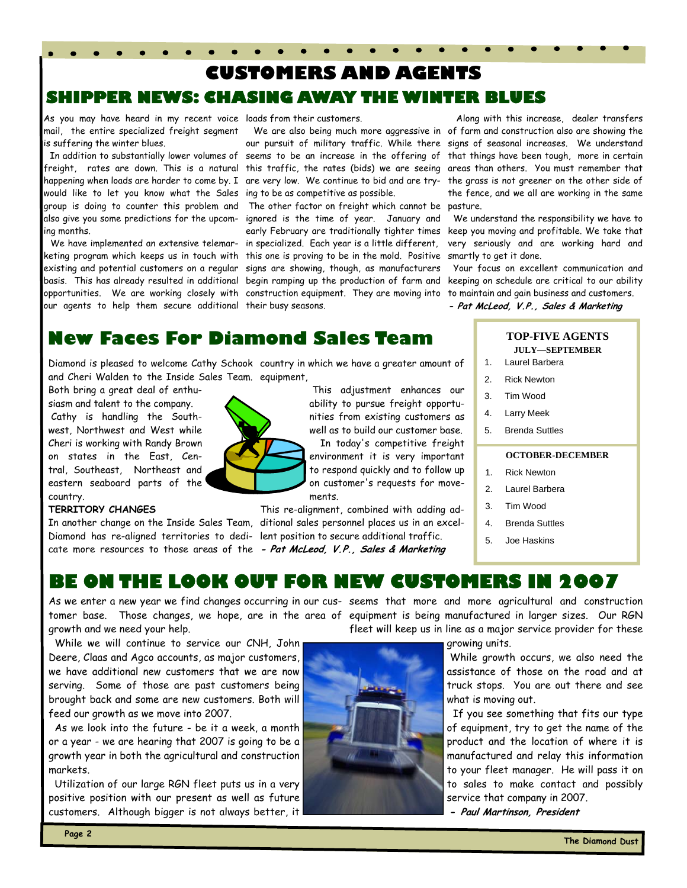# **IEWS: CHASING AWAY THE WINTER BLUES CUSTOMERS AND AGENTS**

As you may have heard in my recent voice loads from their customers. mail, the entire specialized freight segment is suffering the winter blues.

 In addition to substantially lower volumes of seems to be an increase in the offering of that things have been tough, more in certain freight, rates are down. This is a natural this traffic, the rates (bids) we are seeing areas than others. You must remember that happening when loads are harder to come by. I are very low. We continue to bid and are try- the grass is not greener on the other side of would like to let you know what the Sales group is doing to counter this problem and also give you some predictions for the upcoming months.

 We have implemented an extensive telemarketing program which keeps us in touch with existing and potential customers on a regular basis. This has already resulted in additional our agents to help them secure additional their busy seasons.

ing to be as competitive as possible.

opportunities. We are working closely with construction equipment. They are moving into The other factor on freight which cannot be ignored is the time of year. January and early February are traditionally tighter times in specialized. Each year is a little different, this one is proving to be in the mold. Positive signs are showing, though, as manufacturers begin ramping up the production of farm and

 We are also being much more aggressive in of farm and construction also are showing the our pursuit of military traffic. While there signs of seasonal increases. We understand Along with this increase, dealer transfers the fence, and we all are working in the same pasture.

> We understand the responsibility we have to keep you moving and profitable. We take that very seriously and are working hard and smartly to get it done.

> Your focus on excellent communication and keeping on schedule are critical to our ability to maintain and gain business and customers. **- Pat McLeod, V.P., Sales & Marketing**

## **New Faces For Diamond Sales Team**

Diamond is pleased to welcome Cathy Schook country in which we have a greater amount of and Cheri Walden to the Inside Sales Team. equipment,

Both bring a great deal of enthu-

siasm and talent to the company. Cathy is handling the Southwest, Northwest and West while Cheri is working with Randy Brown on states in the East, Central, Southeast, Northeast and eastern seaboard parts of the country.

### **TERRITORY CHANGES**

In another change on the Inside Sales Team, ditional sales personnel places us in an excel-Diamond has re-aligned territories to dedi-lent position to secure additional traffic.



 This adjustment enhances our ability to pursue freight opportunities from existing customers as well as to build our customer base. In today's competitive freight environment it is very important

to respond quickly and to follow up on customer's requests for movements.

cate more resources to those areas of the **- Pat McLeod, V.P., Sales & Marketing**  This re-alignment, combined with adding ad-

#### **TOP-FIVE AGENTS JULY—SEPTEMBER**

- 1. Laurel Barbera
- 2. Rick Newton
- 3. Tim Wood
- 4. Larry Meek
- 5. Brenda Suttles

#### **OCTOBER-DECEMBER**

- 1. Rick Newton
- 2. Laurel Barbera
- 3. Tim Wood
- 4. Brenda Suttles
- 5. Joe Haskins

### **BE ON THE LOOK OUT FOR NEW CUSTOMERS IN 2007**

growth and we need your help.

 While we will continue to service our CNH, John Deere, Claas and Agco accounts, as major customers, we have additional new customers that we are now serving. Some of those are past customers being brought back and some are new customers. Both will feed our growth as we move into 2007.

 As we look into the future - be it a week, a month or a year - we are hearing that 2007 is going to be a growth year in both the agricultural and construction markets.

 Utilization of our large RGN fleet puts us in a very positive position with our present as well as future customers. Although bigger is not always better, it



As we enter a new year we find changes occurring in our cus-seems that more and more agricultural and construction tomer base. Those changes, we hope, are in the area of equipment is being manufactured in larger sizes. Our RGN fleet will keep us in line as a major service provider for these

growing units.

 While growth occurs, we also need the assistance of those on the road and at truck stops. You are out there and see what is moving out.

 If you see something that fits our type of equipment, try to get the name of the product and the location of where it is manufactured and relay this information to your fleet manager. He will pass it on to sales to make contact and possibly service that company in 2007.

**- Paul Martinson, President**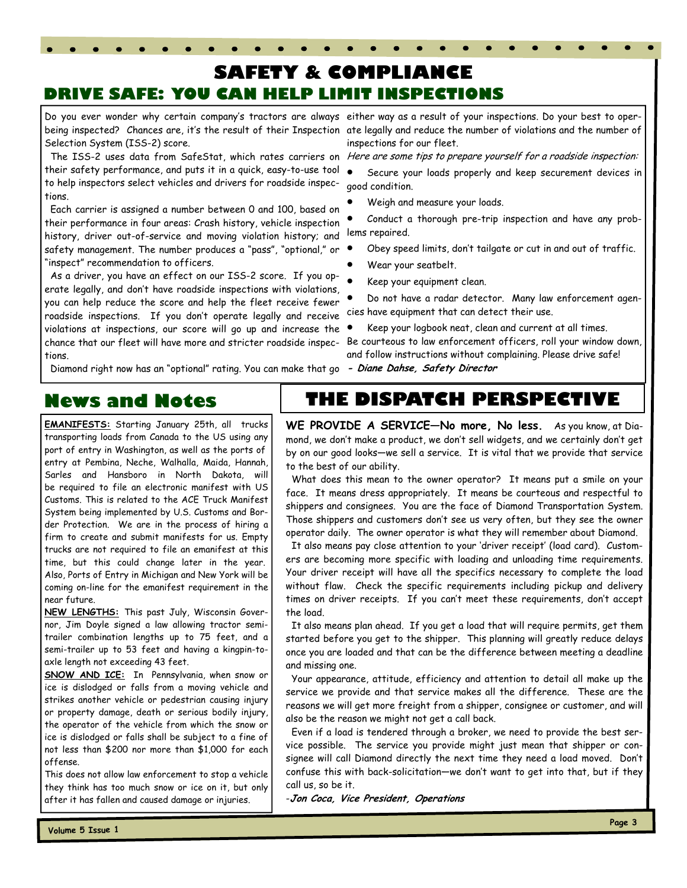## **SAFETY & COMPLIANCE DRIVE SAFE: YOU CAN HELP LIMIT INSPECTIONS**

Selection System (ISS-2) score.

The ISS-2 uses data from SafeStat, which rates carriers on *Here are some tips to prepare yourself for a roadside inspection:* their safety performance, and puts it in a quick, easy-to-use tool  $\bullet$ to help inspectors select vehicles and drivers for roadside inspec-  $\,$  good condition. tions.

 Each carrier is assigned a number between 0 and 100, based on their performance in four areas: Crash history, vehicle inspection history, driver out-of-service and moving violation history; and safety management. The number produces a "pass", "optional," or "inspect" recommendation to officers.

 As a driver, you have an effect on our ISS-2 score. If you operate legally, and don't have roadside inspections with violations, you can help reduce the score and help the fleet receive fewer roadside inspections. If you don't operate legally and receive violations at inspections, our score will go up and increase the chance that our fleet will have more and stricter roadside inspections.

Diamond right now has an "optional" rating. You can make that go **- Diane Dahse, Safety Director** 

Do you ever wonder why certain company's tractors are always either way as a result of your inspections. Do your best to operbeing inspected? Chances are, it's the result of their Inspection ate legally and reduce the number of violations and the number of inspections for our fleet.

• Secure your loads properly and keep securement devices in

• Weigh and measure your loads.

• Conduct a thorough pre-trip inspection and have any problems repaired.

- Obey speed limits, don't tailgate or cut in and out of traffic.
- Wear your seatbelt.
- Keep your equipment clean.
- Do not have a radar detector. Many law enforcement agencies have equipment that can detect their use.
- Keep your logbook neat, clean and current at all times. Be courteous to law enforcement officers, roll your window down, and follow instructions without complaining. Please drive safe!

## **News and Notes**

**EMANIFESTS:** Starting January 25th, all trucks transporting loads from Canada to the US using any port of entry in Washington, as well as the ports of entry at Pembina, Neche, Walhalla, Maida, Hannah, Sarles and Hansboro in North Dakota, will be required to file an electronic manifest with US Customs. This is related to the ACE Truck Manifest System being implemented by U.S. Customs and Border Protection. We are in the process of hiring a firm to create and submit manifests for us. Empty trucks are not required to file an emanifest at this time, but this could change later in the year. Also, Ports of Entry in Michigan and New York will be coming on-line for the emanifest requirement in the near future.

**NEW LENGTHS:** This past July, Wisconsin Governor, Jim Doyle signed a law allowing tractor semitrailer combination lengths up to 75 feet, and a semi-trailer up to 53 feet and having a kingpin-toaxle length not exceeding 43 feet.

**SNOW AND ICE:** In Pennsylvania, when snow or ice is dislodged or falls from a moving vehicle and strikes another vehicle or pedestrian causing injury or property damage, death or serious bodily injury, the operator of the vehicle from which the snow or ice is dislodged or falls shall be subject to a fine of not less than \$200 nor more than \$1,000 for each offense.

This does not allow law enforcement to stop a vehicle they think has too much snow or ice on it, but only after it has fallen and caused damage or injuries.

## **THE DISPATCH PERSPECTIVE**

**WE PROVIDE A SERVICE—No more, No less.** As you know, at Diamond, we don't make a product, we don't sell widgets, and we certainly don't get by on our good looks—we sell a service. It is vital that we provide that service to the best of our ability.

 What does this mean to the owner operator? It means put a smile on your face. It means dress appropriately. It means be courteous and respectful to shippers and consignees. You are the face of Diamond Transportation System. Those shippers and customers don't see us very often, but they see the owner operator daily. The owner operator is what they will remember about Diamond.

 It also means pay close attention to your 'driver receipt' (load card). Customers are becoming more specific with loading and unloading time requirements. Your driver receipt will have all the specifics necessary to complete the load without flaw. Check the specific requirements including pickup and delivery times on driver receipts. If you can't meet these requirements, don't accept the load.

 It also means plan ahead. If you get a load that will require permits, get them started before you get to the shipper. This planning will greatly reduce delays once you are loaded and that can be the difference between meeting a deadline and missing one.

 Your appearance, attitude, efficiency and attention to detail all make up the service we provide and that service makes all the difference. These are the reasons we will get more freight from a shipper, consignee or customer, and will also be the reason we might not get a call back.

 Even if a load is tendered through a broker, we need to provide the best service possible. The service you provide might just mean that shipper or consignee will call Diamond directly the next time they need a load moved. Don't confuse this with back-solicitation—we don't want to get into that, but if they call us, so be it.

-**Jon Coca, Vice President, Operations**